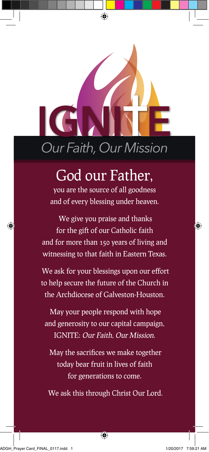

⊕

## God our Father,

you are the source of all goodness and of every blessing under heaven.

We give you praise and thanks for the gift of our Catholic faith and for more than 150 years of living and witnessing to that faith in Eastern Texas.

 We ask for your blessings upon our effort to help secure the future of the Church in the Archdiocese of Galveston-Houston.

May your people respond with hope and generosity to our capital campaign, IGNITE: Our Faith, Our Mission.

May the sacrifices we make together today bear fruit in lives of faith for generations to come.

We ask this through Christ Our Lord.

⊕

⊕

O.